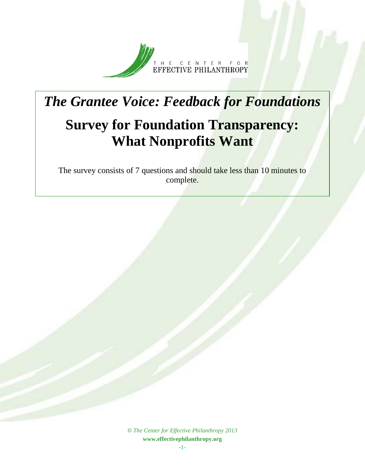

## *The Grantee Voice: Feedback for Foundations* **Survey for Foundation Transparency: What Nonprofits Want**

The survey consists of 7 questions and should take less than 10 minutes to complete.

> **©** *The Center for Effective Philanthropy 2013* **www.effectivephilanthropy.org**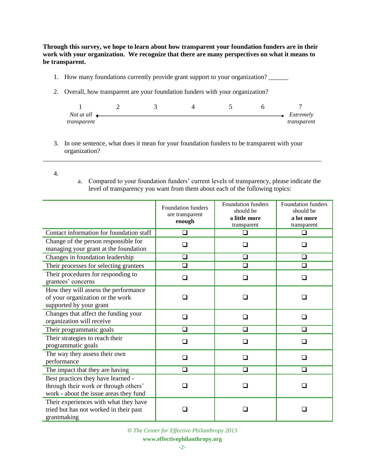**Through this survey, we hope to learn about how transparent your foundation funders are in their work with your organization. We recognize that there are many perspectives on what it means to be transparent.** 

- 1. How many foundations currently provide grant support to your organization? \_\_\_\_\_\_
- 2. Overall, how transparent are your foundation funders with your organization?

| Not at all $\triangleleft$ |  |  | Extremely   |
|----------------------------|--|--|-------------|
| transparent                |  |  | transparent |

3. In one sentence, what does it mean for your foundation funders to be transparent with your organization?

\_\_\_\_\_\_\_\_\_\_\_\_\_\_\_\_\_\_\_\_\_\_\_\_\_\_\_\_\_\_\_\_\_\_\_\_\_\_\_\_\_\_\_\_\_\_\_\_\_\_\_\_\_\_\_\_\_\_\_\_\_\_\_\_\_\_\_\_\_\_\_\_\_\_\_\_\_\_\_\_\_\_\_\_\_

- 4.
- a. Compared to your foundation funders' current levels of transparency, please indicate the level of transparency you want from them about each of the following topics:

|                                                                                                                       | <b>Foundation funders</b><br>are transparent<br>enough | <b>Foundation funders</b><br>should be<br>a little more<br>transparent | Foundation funders<br>should be<br>a lot more<br>transparent |  |  |
|-----------------------------------------------------------------------------------------------------------------------|--------------------------------------------------------|------------------------------------------------------------------------|--------------------------------------------------------------|--|--|
| Contact information for foundation staff                                                                              | ◻                                                      | . .                                                                    | . .                                                          |  |  |
| Change of the person responsible for<br>managing your grant at the foundation                                         |                                                        | □                                                                      |                                                              |  |  |
| Changes in foundation leadership                                                                                      | ❏                                                      | ❏                                                                      | ❏                                                            |  |  |
| Their processes for selecting grantees                                                                                | ◻                                                      | ❏                                                                      | $\Box$                                                       |  |  |
| Their procedures for responding to<br>grantees' concerns                                                              | $\Box$                                                 | ❏                                                                      | □                                                            |  |  |
| How they will assess the performance<br>of your organization or the work<br>supported by your grant                   |                                                        |                                                                        |                                                              |  |  |
| Changes that affect the funding your<br>organization will receive                                                     |                                                        | $\Box$                                                                 |                                                              |  |  |
| Their programmatic goals                                                                                              | $\Box$                                                 | ◻                                                                      | ∩                                                            |  |  |
| Their strategies to reach their<br>programmatic goals                                                                 |                                                        |                                                                        |                                                              |  |  |
| The way they assess their own<br>performance                                                                          | l 1                                                    | □                                                                      | H                                                            |  |  |
| The impact that they are having                                                                                       | ❏                                                      | ❏                                                                      | ❏                                                            |  |  |
| Best practices they have learned -<br>through their work or through others'<br>work - about the issue areas they fund |                                                        |                                                                        |                                                              |  |  |
| Their experiences with what they have<br>tried but has not worked in their past<br>grantmaking                        |                                                        |                                                                        |                                                              |  |  |

**©** *The Center for Effective Philanthropy 2013*

## **www.effectivephilanthropy.org**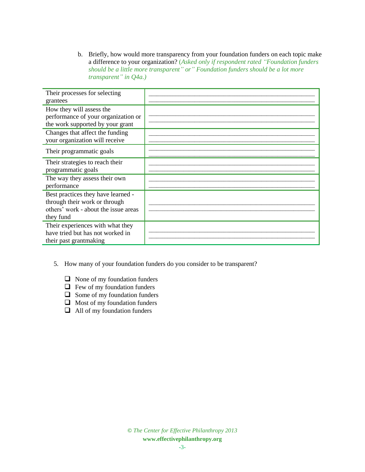b. Briefly, how would more transparency from your foundation funders on each topic make a difference to your organization? (*Asked only if respondent rated "Foundation funders should be a little more transparent" or" Foundation funders should be a lot more transparent" in Q4a.)*

| Their processes for selecting                                                                                            |  |
|--------------------------------------------------------------------------------------------------------------------------|--|
| grantees                                                                                                                 |  |
| How they will assess the<br>performance of your organization or                                                          |  |
| the work supported by your grant                                                                                         |  |
| Changes that affect the funding<br>your organization will receive                                                        |  |
| Their programmatic goals                                                                                                 |  |
| Their strategies to reach their<br>programmatic goals                                                                    |  |
| The way they assess their own<br>performance                                                                             |  |
| Best practices they have learned -<br>through their work or through<br>others' work - about the issue areas<br>they fund |  |
| Their experiences with what they<br>have tried but has not worked in<br>their past grantmaking                           |  |

- 5. How many of your foundation funders do you consider to be transparent?
	- $\Box$  None of my foundation funders
	- $\Box$  Few of my foundation funders
	- $\Box$  Some of my foundation funders
	- $\Box$  Most of my foundation funders
	- $\Box$  All of my foundation funders